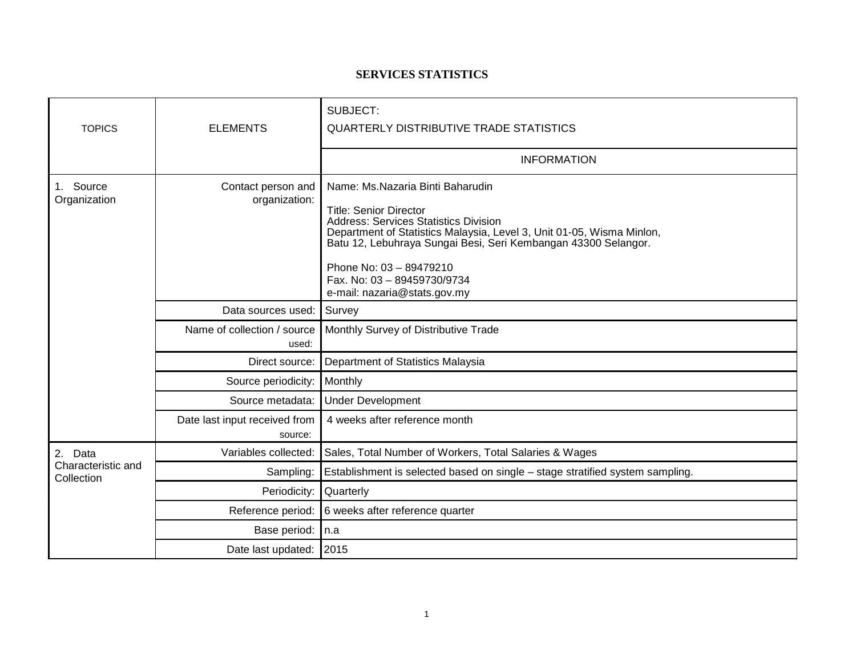## **SERVICES STATISTICS**

|                                             |                                          | SUBJECT:                                                                                                                                                                                                                                                     |
|---------------------------------------------|------------------------------------------|--------------------------------------------------------------------------------------------------------------------------------------------------------------------------------------------------------------------------------------------------------------|
| <b>TOPICS</b>                               | <b>ELEMENTS</b>                          | <b>QUARTERLY DISTRIBUTIVE TRADE STATISTICS</b>                                                                                                                                                                                                               |
|                                             |                                          | <b>INFORMATION</b>                                                                                                                                                                                                                                           |
|                                             |                                          |                                                                                                                                                                                                                                                              |
| Source<br>$1_{1}$<br>Organization           | Contact person and<br>organization:      | Name: Ms.Nazaria Binti Baharudin<br><b>Title: Senior Director</b><br><b>Address: Services Statistics Division</b><br>Department of Statistics Malaysia, Level 3, Unit 01-05, Wisma Minlon,<br>Batu 12, Lebuhraya Sungai Besi, Seri Kembangan 43300 Selangor. |
|                                             |                                          | Phone No: 03 - 89479210<br>Fax. No: 03 - 89459730/9734<br>e-mail: nazaria@stats.gov.my                                                                                                                                                                       |
|                                             | Data sources used:                       | Survey                                                                                                                                                                                                                                                       |
|                                             | Name of collection / source              | Monthly Survey of Distributive Trade                                                                                                                                                                                                                         |
|                                             | used:                                    |                                                                                                                                                                                                                                                              |
|                                             | Direct source:                           | Department of Statistics Malaysia                                                                                                                                                                                                                            |
|                                             | Source periodicity:                      | Monthly                                                                                                                                                                                                                                                      |
|                                             | Source metadata:                         | <b>Under Development</b>                                                                                                                                                                                                                                     |
|                                             | Date last input received from<br>source: | 4 weeks after reference month                                                                                                                                                                                                                                |
| 2. Data<br>Characteristic and<br>Collection | Variables collected:                     | Sales, Total Number of Workers, Total Salaries & Wages                                                                                                                                                                                                       |
|                                             | Sampling:                                | Establishment is selected based on single - stage stratified system sampling.                                                                                                                                                                                |
|                                             | Periodicity:                             | Quarterly                                                                                                                                                                                                                                                    |
|                                             | Reference period:                        | 6 weeks after reference quarter                                                                                                                                                                                                                              |
|                                             | Base period:                             | In.a                                                                                                                                                                                                                                                         |
|                                             | Date last updated:                       | 2015                                                                                                                                                                                                                                                         |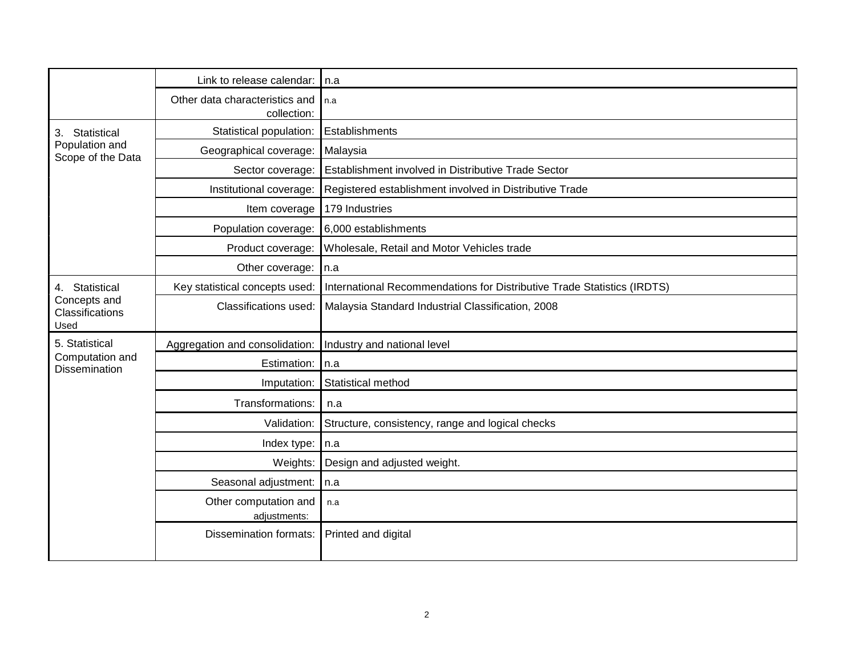|                                                          | Link to release calendar:                     | $\ln a$                                                                 |
|----------------------------------------------------------|-----------------------------------------------|-------------------------------------------------------------------------|
|                                                          | Other data characteristics and<br>collection: | n.a                                                                     |
| Statistical<br>3.<br>Population and<br>Scope of the Data | Statistical population:                       | Establishments                                                          |
|                                                          | Geographical coverage:                        | Malaysia                                                                |
|                                                          | Sector coverage:                              | Establishment involved in Distributive Trade Sector                     |
|                                                          | Institutional coverage:                       | Registered establishment involved in Distributive Trade                 |
|                                                          | Item coverage                                 | 179 Industries                                                          |
|                                                          | Population coverage:                          | 6,000 establishments                                                    |
|                                                          | Product coverage:                             | Wholesale, Retail and Motor Vehicles trade                              |
|                                                          | Other coverage:                               | In.a                                                                    |
| 4. Statistical                                           | Key statistical concepts used:                | International Recommendations for Distributive Trade Statistics (IRDTS) |
| Concepts and<br>Classifications<br>Used                  | Classifications used:                         | Malaysia Standard Industrial Classification, 2008                       |
| 5. Statistical                                           | Aggregation and consolidation:                | Industry and national level                                             |
| Computation and<br><b>Dissemination</b>                  | Estimation:                                   | n.a                                                                     |
|                                                          | Imputation:                                   | Statistical method                                                      |
|                                                          | Transformations:                              | n.a                                                                     |
|                                                          | Validation:                                   | Structure, consistency, range and logical checks                        |
|                                                          | Index type:                                   | n.a                                                                     |
|                                                          | Weights:                                      | Design and adjusted weight.                                             |
|                                                          | Seasonal adjustment:                          | n.a                                                                     |
|                                                          | Other computation and<br>adjustments:         | n.a                                                                     |
|                                                          | <b>Dissemination formats:</b>                 | Printed and digital                                                     |